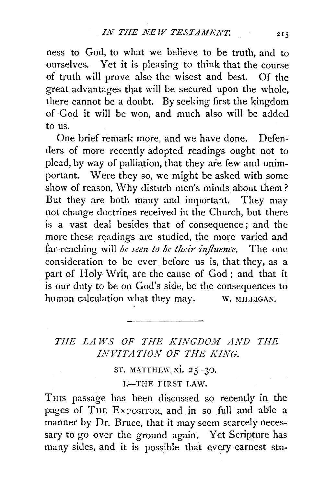ness to God, to what we believe to be truth, and to ourselves. Yet it is pleasing to think that the course of truth will prove also the wisest and best. Of the great advantages that will be secured upon the whole, there cannot be a doubt. By seeking first the kingdom of God it will be won, and much also will be added to us.

One brief remark more, and we have done. Defenders of more recently adopted readings ought not to plead, by way of palliation, that they are few and unimportant. Were they so, we might be asked with some show of reason, Why disturb men's minds about them? But they are both many and important. They may not change doctrines received in the Church, but there is a vast deal besides that of consequence ; and the more these readings are studied, the more varied and far-reaching will *be sem to be their influence.* The one consideration to be ever before us is, that they, as a part of Holy Writ, are the cause of God; and that it is our duty to be on God's side, be the consequences to human calculation what they may.  $\qquad$  w. MILLIGAN.

## *THE LAWS OF THE KINGDOM AND THE INVITATION OF THE KING.*

ST. MATTHEW xi. 25-30.

I.-THE FIRST LAW.

Tms passage has been discussed so recently in the pages of THE EXPOSITOR, and in so full and able a manner by Dr. Bruce, that it may seem scarcely necessary to go over the ground again. Yet Scripture has many sides, and it is possible that every earnest stu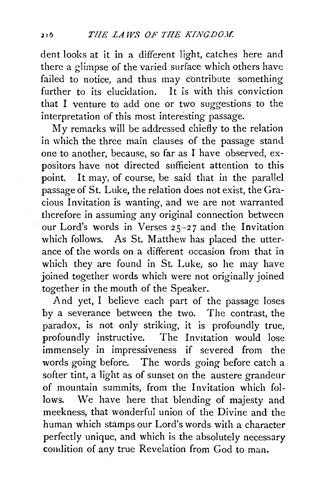dent looks at it in a different light, catches here and there a glimpse of the varied surface which others have failed to notice, and thus may contribute something further to its elucidation. It is with this conviction that I venture to add one or two suggestions to the interpretation of this most interesting passage.

My remarks will be addressed chiefly to the relation in which the three main clauses of the passage stand one to another, because, so far as I have observed, expositors have not directed sufficient attention to this point. It may, of course, be said that in the parallel passage of St. Luke, the relation does not exist, the Gracious Invitation is wanting, and we are not warranted therefore in assuming any original connection between our Lord's words in Verses 25-27 and the Invitation which follows. As St. Matthew has placed the utterance of the words on a different occasion from that in which they are found in St. Luke, so he may have joined tegether words which were not originally joined together in the mouth of the Speaker.

And yet, I believe each part of the passage loses by a severance between the two. The contrast, the paradox, is not only striking, it is profoundly true, profoundly instructive. The Invitation would lose immensely in impressiveness if severed from the words going before. The words going before catch a softer tint, a light as of sunset on the austere grandeur of mountain summits, from the Invitation which follows. We have here that blending of majesty and meekness, that wonderful union of the Divine and the human which stamps our Lord's words with a character perfectly unique, and which is the absolutely necessary condition of any true Revelation from God to man.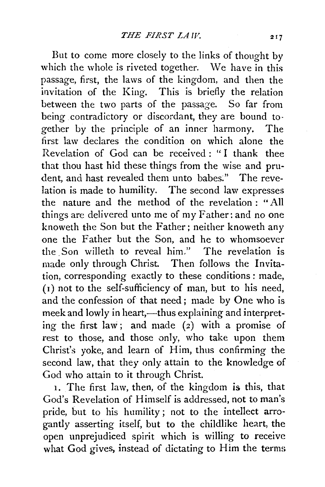But to come more closely to the links of thought by which the whole is riveted together. We have in this passage, first, the laws of the kingdom, and then the invitation of the King. This is briefly the relation between the two parts of the passage. So far from being contradictory or discordant, they are bound together by the principle of an inner harmony. The first law declares the condition on which alone the Revelation of God can be received : " I thank thee that thou hast hid these things from the wise and prudent, and hast revealed them unto babes:" The revelation is made to humility. The second law expresses the nature and the method of the revelation : "All things are delivered unto me of my Father: and no one knoweth the Son but the Father; neither knoweth any one the Father but the Son, and he to whomsoever the. Son willeth to reveal him." The revelation is made only through Christ. Then follows the Invitation, corresponding exactly to these conditions : made, ( 1) not to the self-sufficiency of man, but to his need, and the confession of that need ; made by One who is meek and lowly in heart,-thus explaining and interpreting the first la\v; and made (2) with a promise of rest to those, and those only, who take upon them Christ's yoke, and learn of Him, thus confirming the second law, that they only attain to the knowledge of God who attain to it through Christ.

1. The first law, then, of the kingdom is this, that God's Revelation of Himself is addressed, not to man's pride, but to his humility ; not to the intellect arrogantly asserting itself, but to the childlike heart, the open unprejudiced spirit which is willing to receive what God gives, instead of dictating to Him the terms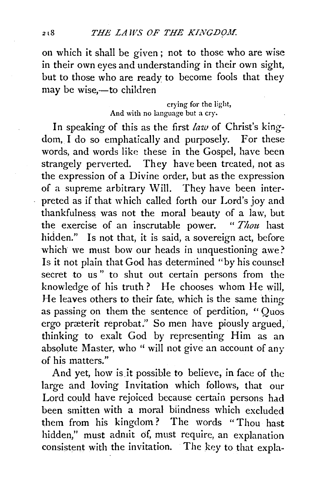on which it shall be given; not to those who are wise in their own eyes and understanding in their own sight, but to those who are ready to become fools that they may be wise,-to children

> crying for the light, And with no language but a cry.

In speaking of this as the first *law* of Christ's kingdom, I do so emphatically and purposely. For these words, and words like these in the Gospel, have been strangely perverted. They have been treated, not as the expression of a Divine order, but as the expression of a supreme arbitrary Will. They have been interpreted as if that which called forth our Lord's joy and thankfulness was not the moral beauty of a law, but the exercise of an inscrutable power. " *Thou* hast hidden." Is not that, it is said, a sovereign act, before which we must bow our heads in unquestioning awe? Is it not plain that God has determined "by his counsel secret to us" to shut out certain persons from the knowledge of his truth? He chooses whom He will, He leaves others to their fate, which is the same thing as passing on them the sentence of perdition, " Quos ergo præterit reprobat." So men have piously argued, thinking to exalt God by representing Him as an absolute Master, who " will not give an account of any of his matters."

And yet, how is it possible to believe, in face of the large and loving Invitation which follows, that our Lord could have rejoiced because certain persons had been smitten with a moral biindness which excluded them from his kingdom? The words "Thou hast hidden," must admit of, must require, an explanation consistent with the invitation. The key to that expla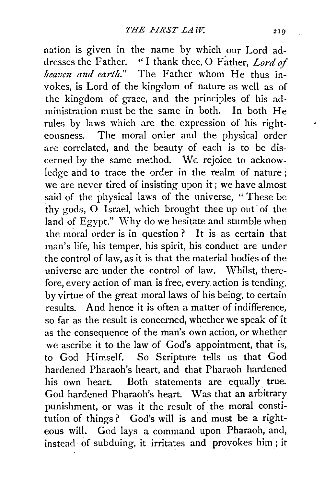nation is given in the name by which our Lord addresses the Father. "I thank thee, 0 Father, *Lord of heaven and earth.*" The Father whom He thus invokes, is Lord of the kingdom of nature as well as of the kingdom of grace, and the principles of his administration must be the same in both. In both He rules by laws which are the expression of his righteousness. The moral order and the physical order are correlated, and the beauty of each is to be discerned by the same method. We rejoice to acknowledge and to trace the order in the realm of nature ; we are never tired of insisting upon it; we have almost said of the physical laws of the universe, " These be thy gods, O Israel, which brought thee up out of the land of Egypt." Why do we hesitate and stumble when the moral order is in question ? It is as certain that man's life, his temper, his spirit, his conduct are under the control of law, as it is that the material bodies of the universe are under the control of law. Whilst, therefore, every action of man is free, every action is tending. by virtue of the great moral laws of his being, to certain results. And hence it is often a matter of indifference, so far as the result is concerned, whether we speak of it as the consequence of the man's own action, or whether we ascribe it to the law of God's appointment, that is, to God Himself. So Scripture tells us that God hardened Pharaoh's heart, and that Pharaoh hardened his own heart. Both statements are equally true. God hardened Pharaoh's heart. \Vas that an arbitrary punishment, or was it the result of the moral constitution of things ? God's will is and must be a righteous will. God lays a command upon Pharaoh, and, instead. of subduing, it irritates and provokes him ; it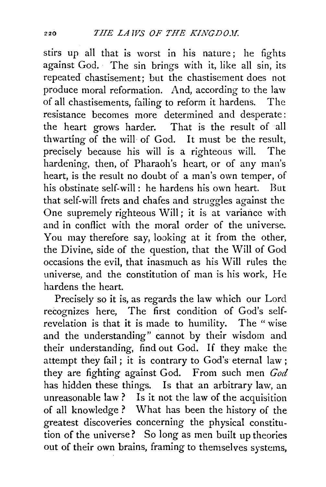stirs up all that is worst in his nature; he fights against God. The sin brings with it, like all sin, its repeated chastisement; but the chastisement does not produce moral reformation. And, according to the law of all chastisements, failing to reform it hardens. The resistance becomes more determined and desperate : the heart grows harder. That is the result of all thwarting of the will of God. It must be the result, precisely because his will is a righteous will. The hardening, then, of Pharaoh's heart, or of any man's heart, is the result no doubt of a man's own temper, of his obstinate self-will: he hardens his own heart. But that self-will frets and chafes and struggles against the One supremely righteous Will; it is at variance with and in conflict with the moral order of the universe. You may therefore say, looking at it from the other, the Divine, side of the question, that the Will of God occasions the evil, that inasmuch as his Will rules the universe, and the constitution of man is his work, He hardens the heart.

Precisely so it is, as regards the law which our Lord recognizes here, The first condition of God's selfrevelation is that it is made to humility. The " wise and the understanding" cannot by their wisdom and their understanding, find out God: If they make the attempt they fail; it is contrary to God's eternal law; they are fighting against God. From such men *God*  has hidden these things. Is that an arbitrary law, an unreasonable law? Is it not the law of the acquisition of all knowledge ? What has been the history of the greatest discoveries concerning the physical constitution of the universe? So long as men built up theories out of their own brains, framing to themselves systems,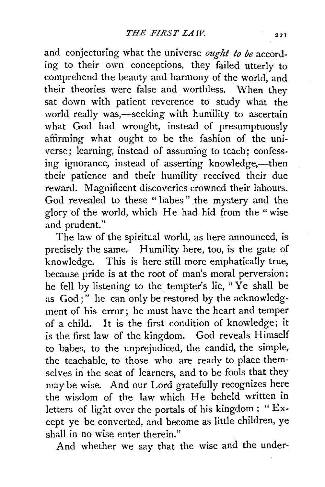and conjecturing what the universe *ought to be* according to their own conceptions, they failed utterly to comprehend the beauty and harmony of the world, and their theories were false and worthless. When they sat down with patient reverence to study what the world really was,—seeking with humility to ascertain what God had wrought, instead of presumptuously affirming what ought to be the fashion of the universe; learning, instead of assuming to teach; confessing ignorance, instead of asserting knowledge,—then their patience and their humility received their due reward. Magnificent discoveries crowned their labours. God revealed to these " babes " the mystery and the glory of the world, which He had hid from the" wise and prudent."

The law of the spiritual world, as here announced, is precisely the same. Humility here, too, is the gate of knowledge. This is here still more emphatically true, because pride is at the root of man's moral perversion: he fell by listening to the tempter's lie, "Ye shall be as God;" he can only be restored by the acknowledgment of his error; he must have the heart and temper of a child. It is the first condition of knowledge; it is the first law of the kingdom. God reveals Himself to babes, to the unprejudiced, the candid, the simple, the teachable, to those who are ready to place themselves in the seat of learners, and to be fools that they may be wise. And our Lord gratefully recognizes here the wisdom of the law which He beheld written in letters of light over the portals of his kingdom : " Except ye be converted, and become as little children, ye shall in no wise enter therein."

And whether we say that the wise and the under-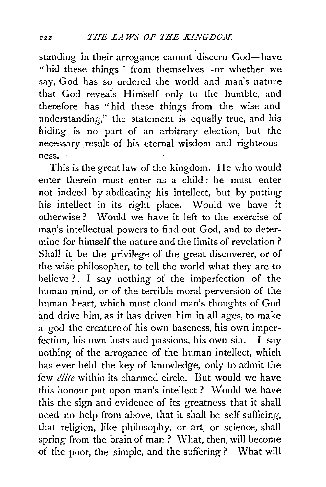standing in their arrogance cannot discern God-have "hid these things" from themselves-or whether we say, God has so ordered the world and man's nature that God reveals Himself only to the humble, and therefore has "hid these things from the wise and understanding," the statement is equally true, and his hiding is no part of an arbitrary election, but the necessary result of his eternal wisdom and righteousness.

This is the great law of the kingdom. He who would enter therein must enter as a child; he must enter not indeed by abdicating his intellect, but by putting his intellect in its right place. Would we have it otherwise ? \Vould we have it left to the exercise of man's intellectual powers to find out God, and to determine for himself the nature and the limits of revelation ? Shall it be the privilege of the great discoverer, or of the wise philosopher, to tell the world what they are to believe ?. I say nothing of the imperfection of the human mind, or of the terrible moral perversion of the human heart, which must cloud man's thoughts of God and drive him, as it has driven him in all ages, to make a god the creature of his own baseness, his own imperfection, his own lusts and passions, his own sin. I say nothing of the arrogance of the human intellect, which has ever held the key of knowledge, only to admit the few *elite* within its charmed circle. But would we have this honour put upon man's intellect? Would we have this the sign and evidence of its greatness that it shall need no help from above, that it shall be self-sufficing, that religion, like philosophy, or art, or science, shall spring from the brain of man? What, then, will become of the poor, the simple, and the suffering ? What will